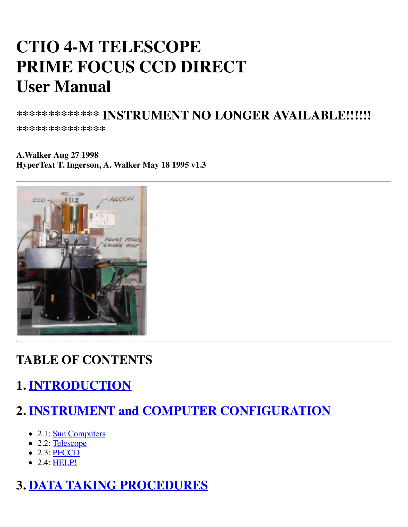# **CTIO 4-M TELESCOPE PRIME FOCUS CCD DIRECT User Manual**

**\*\*\*\*\*\*\*\*\*\*\*\*\* INSTRUMENT NO LONGER AVAILABLE!!!!!!**

**\*\*\*\*\*\*\*\*\*\*\*\*\*\***

**A.Walker Aug 27 1998 HyperText T. Ingerson, A. Walker May 18 1995 v1.3**



#### **TABLE OF CONTENTS**

# **1. [INTRODUCTION](http://www.ctio.noao.edu/pfccd/pfccd.html#1)**

#### **2. [INSTRUMENT and COMPUTER CONFIGURATION](http://www.ctio.noao.edu/pfccd/pfccd.html#2)**

- 2.1: [Sun Computers](http://www.ctio.noao.edu/pfccd/pfccd.html#2.1)
- 2.2: [Telescope](http://www.ctio.noao.edu/pfccd/pfccd.html#2.2)
- $\bullet$  2.3: [PFCCD](http://www.ctio.noao.edu/pfccd/pfccd.html#2.3)
- 2.4: **HELP!**

#### **3. [DATA TAKING PROCEDURES](http://www.ctio.noao.edu/pfccd/pfccd.html#3)**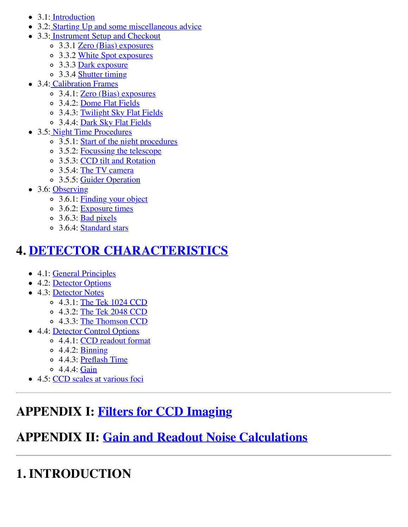- 3.1: [Introduction](http://www.ctio.noao.edu/pfccd/pfccd.html#3.1)
- 3.2: [Starting Up and some miscellaneous advice](http://www.ctio.noao.edu/pfccd/pfccd.html#3.2)
- 3.3: [Instrument Setup and Checkout](http://www.ctio.noao.edu/pfccd/pfccd.html#3.3)
	- 3.3.1 [Zero \(Bias\) exposures](http://www.ctio.noao.edu/pfccd/pfccd.html#3.3.1)
	- 3.3.2 [White Spot exposures](http://www.ctio.noao.edu/pfccd/pfccd.html#3.3.2)
	- $\circ$  3.3.3 <u>Dark exposure</u>
	- o 3.3.4 [Shutter timing](http://www.ctio.noao.edu/pfccd/pfccd.html#3.3.4)
- 3.4: [Calibration Frames](http://www.ctio.noao.edu/pfccd/pfccd.html#3.4)
	- 3.4.1: [Zero \(Bias\) exposures](http://www.ctio.noao.edu/pfccd/pfccd.html#3.4.1)
	- 3.4.2: [Dome Flat Fields](http://www.ctio.noao.edu/pfccd/pfccd.html#3.4.2)
	- 3.4.3: [Twilight Sky Flat Fields](http://www.ctio.noao.edu/pfccd/pfccd.html#3.4.3)
	- 3.4.4: [Dark Sky Flat Fields](http://www.ctio.noao.edu/pfccd/pfccd.html#3.4.4)
- 3.5: [Night Time Procedures](http://www.ctio.noao.edu/pfccd/pfccd.html#3.5)
	- $\circ$  3.5.1: [Start of the night procedures](http://www.ctio.noao.edu/pfccd/pfccd.html#3.5.1)
	- 3.5.2: [Focussing the telescope](http://www.ctio.noao.edu/pfccd/pfccd.html#3.5.2)
	- 3.5.3: [CCD tilt and Rotation](http://www.ctio.noao.edu/pfccd/pfccd.html#3.5.3)
	- 3.5.4: [The TV camera](http://www.ctio.noao.edu/pfccd/pfccd.html#3.5.4)
	- 3.5.5: [Guider Operation](http://www.ctio.noao.edu/pfccd/pfccd.html#3.5.5)
- $\bullet$  3.6: [Observing](http://www.ctio.noao.edu/pfccd/pfccd.html#3.6)
	- 0 3.6.1: [Finding your object](http://www.ctio.noao.edu/pfccd/pfccd.html#3.6.1)
	- 3.6.2: [Exposure times](http://www.ctio.noao.edu/pfccd/pfccd.html#3.6.2)
	- $\circ$  3.6.3: [Bad pixels](http://www.ctio.noao.edu/pfccd/pfccd.html#3.6.3)
	- 3.6.4: [Standard stars](http://www.ctio.noao.edu/pfccd/pfccd.html#3.6.4)

# **4. [DETECTOR CHARACTERISTICS](http://www.ctio.noao.edu/pfccd/pfccd.html#4)**

- 4.1: [General Principles](http://www.ctio.noao.edu/pfccd/pfccd.html#4.1)
- 4.2: [Detector Options](http://www.ctio.noao.edu/pfccd/pfccd.html#4.2)
- 4.3: [Detector Notes](http://www.ctio.noao.edu/pfccd/pfccd.html#4.3)
	- 4.3.1: [The Tek 1024 CCD](http://www.ctio.noao.edu/pfccd/pfccd.html#4.3.1)
	- 4.3.2: [The Tek 2048 CCD](http://www.ctio.noao.edu/pfccd/pfccd.html#4.3.2)
	- 4.3.3: [The Thomson CCD](http://www.ctio.noao.edu/pfccd/pfccd.html#4.3.3)
- 4.4: [Detector Control Options](http://www.ctio.noao.edu/pfccd/pfccd.html#4.4)
	- 4.4.1: [CCD readout format](http://www.ctio.noao.edu/pfccd/pfccd.html#4.4.1)
	- 4.4.2: [Binning](http://www.ctio.noao.edu/pfccd/pfccd.html#4.4.2)
	- 4.4.3: [Preflash Time](http://www.ctio.noao.edu/pfccd/pfccd.html#4.4.3)
	- $\circ$  4.4.4: [Gain](http://www.ctio.noao.edu/pfccd/pfccd.html#4.4.4)
- 4.5: [CCD scales at various foci](http://www.ctio.noao.edu/pfccd/pfccd.html#4.5)

# **APPENDIX I: [Filters for CCD Imaging](http://www.ctio.noao.edu/pfccd/pfccd.html#APPENDIX%20I)**

# **APPENDIX II: [Gain and Readout Noise Calculations](http://www.ctio.noao.edu/pfccd/pfccd.html#APPENDIX%20II)**

# **1. INTRODUCTION**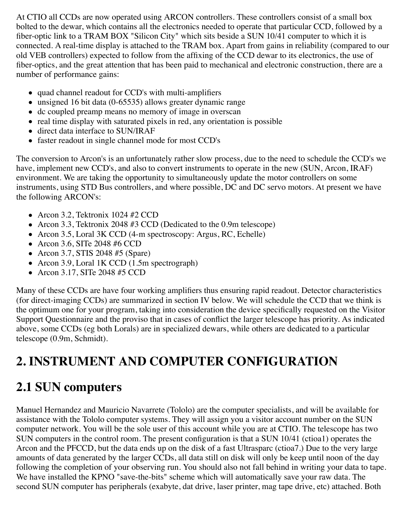At CTIO all CCDs are now operated using ARCON controllers. These controllers consist of a small box bolted to the dewar, which contains all the electronics needed to operate that particular CCD, followed by a fiber-optic link to a TRAM BOX "Silicon City" which sits beside a SUN 10/41 computer to which it is connected. A real-time display is attached to the TRAM box. Apart from gains in reliability (compared to our old VEB controllers) expected to follow from the affixing of the CCD dewar to its electronics, the use of fiber-optics, and the great attention that has been paid to mechanical and electronic construction, there are a number of performance gains:

- quad channel readout for CCD's with multi-amplifiers
- unsigned 16 bit data (0-65535) allows greater dynamic range
- dc coupled preamp means no memory of image in overscan
- $\bullet$  real time display with saturated pixels in red, any orientation is possible
- direct data interface to SUN/IRAF
- faster readout in single channel mode for most CCD's

The conversion to Arcon's is an unfortunately rather slow process, due to the need to schedule the CCD's we have, implement new CCD's, and also to convert instruments to operate in the new (SUN, Arcon, IRAF) environment. We are taking the opportunity to simultaneously update the motor controllers on some instruments, using STD Bus controllers, and where possible, DC and DC servo motors. At present we have the following ARCON's:

- Arcon 3.2, Tektronix 1024 #2 CCD
- Arcon 3.3, Tektronix 2048 #3 CCD (Dedicated to the 0.9m telescope)
- Arcon 3.5, Loral 3K CCD (4-m spectroscopy: Argus, RC, Echelle)
- Arcon 3.6, SITe 2048 #6 CCD
- Arcon 3.7, STIS 2048 #5 (Spare)
- Arcon 3.9, Loral 1K CCD (1.5m spectrograph)
- Arcon 3.17, SITe 2048 #5 CCD

Many of these CCDs are have four working amplifiers thus ensuring rapid readout. Detector characteristics (for direct-imaging CCDs) are summarized in section IV below. We will schedule the CCD that we think is the optimum one for your program, taking into consideration the device specifically requested on the Visitor Support Questionnaire and the proviso that in cases of conflict the larger telescope has priority. As indicated above, some CCDs (eg both Lorals) are in specialized dewars, while others are dedicated to a particular telescope (0.9m, Schmidt).

# **2. INSTRUMENT AND COMPUTER CONFIGURATION**

# **2.1 SUN computers**

Manuel Hernandez and Mauricio Navarrete (Tololo) are the computer specialists, and will be available for assistance with the Tololo computer systems. They will assign you a visitor account number on the SUN computer network. You will be the sole user of this account while you are at CTIO. The telescope has two SUN computers in the control room. The present configuration is that a SUN 10/41 (ctioa1) operates the Arcon and the PFCCD, but the data ends up on the disk of a fast Ultrasparc (ctioa7.) Due to the very large amounts of data generated by the larger CCDs, all data still on disk will only be keep until noon of the day following the completion of your observing run. You should also not fall behind in writing your data to tape. We have installed the KPNO "save-the-bits" scheme which will automatically save your raw data. The second SUN computer has peripherals (exabyte, dat drive, laser printer, mag tape drive, etc) attached. Both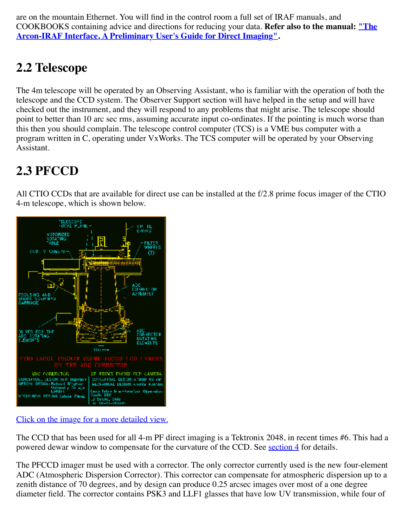are on the mountain Ethernet. You will find in the control room a full set of IRAF manuals, and COOKBOOKS containing advice and directions for reducing your data. **Refer also to the manual: "The [Arcon-IRAF Interface, A Preliminary User's Guide for Direct Imaging".](http://www.ctio.noao.edu/arcon/Arcon_IRAF_man.html)**

# **2.2 Telescope**

The 4m telescope will be operated by an Observing Assistant, who is familiar with the operation of both the telescope and the CCD system. The Observer Support section will have helped in the setup and will have checked out the instrument, and they will respond to any problems that might arise. The telescope should point to better than 10 arc sec rms, assuming accurate input co-ordinates. If the pointing is much worse than this then you should complain. The telescope control computer (TCS) is a VME bus computer with a program written in C, operating under VxWorks. The TCS computer will be operated by your Observing Assistant.

# **2.3 PFCCD**

All CTIO CCDs that are available for direct use can be installed at the f/2.8 prime focus imager of the CTIO 4-m telescope, which is shown below.



#### [Click on the image for a more detailed view.](http://www.ctio.noao.edu/pfccd/pfdwg.gif)

The CCD that has been used for all 4-m PF direct imaging is a Tektronix 2048, in recent times #6. This had a powered dewar window to compensate for the curvature of the CCD. See [section 4](http://www.ctio.noao.edu/pfccd/pfccd.html#4) for details.

The PFCCD imager must be used with a corrector. The only corrector currently used is the new four-element ADC (Atmospheric Dispersion Corrector). This corrector can compensate for atmospheric dispersion up to a zenith distance of 70 degrees, and by design can produce 0.25 arcsec images over most of a one degree diameter field. The corrector contains PSK3 and LLF1 glasses that have low UV transmission, while four of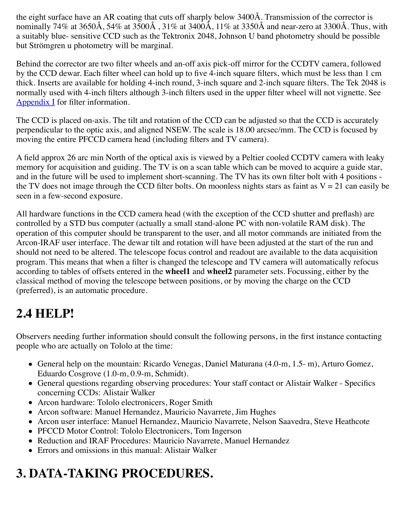the eight surface have an AR coating that cuts off sharply below 3400Å. Transmission of the corrector is nominally 74% at 3650Å, 54% at 3500Å , 31% at 3400Å, 11% at 3350Å and near-zero at 3300Å. Thus, with a suitably blue- sensitive CCD such as the Tektronix 2048, Johnson U band photometry should be possible but Strömgren u photometry will be marginal.

Behind the corrector are two filter wheels and an-off axis pick-off mirror for the CCDTV camera, followed by the CCD dewar. Each filter wheel can hold up to five 4-inch square filters, which must be less than 1 cm thick. Inserts are available for holding 4-inch round, 3-inch square and 2-inch square filters. The Tek 2048 is normally used with 4-inch filters although 3-inch filters used in the upper filter wheel will not vignette. See [Appendix I](http://www.ctio.noao.edu/pfccd/pfccd.html#APPENDIX%20I) for filter information.

The CCD is placed on-axis. The tilt and rotation of the CCD can be adjusted so that the CCD is accurately perpendicular to the optic axis, and aligned NSEW. The scale is 18.00 arcsec/mm. The CCD is focused by moving the entire PFCCD camera head (including filters and TV camera).

A field approx 26 arc min North of the optical axis is viewed by a Peltier cooled CCDTV camera with leaky memory for acquisition and guiding. The TV is on a scan table which can be moved to acquire a guide star, and in the future will be used to implement short-scanning. The TV has its own filter bolt with 4 positions the TV does not image through the CCD filter bolts. On moonless nights stars as faint as  $V = 21$  can easily be seen in a few-second exposure.

All hardware functions in the CCD camera head (with the exception of the CCD shutter and preflash) are controlled by a STD bus computer (actually a small stand-alone PC with non-volatile RAM disk). The operation of this computer should be transparent to the user, and all motor commands are initiated from the Arcon-IRAF user interface. The dewar tilt and rotation will have been adjusted at the start of the run and should not need to be altered. The telescope focus control and readout are available to the data acquisition program. This means that when a filter is changed the telescope and TV camera will automatically refocus according to tables of offsets entered in the **wheel1** and **wheel2** parameter sets. Focussing, either by the classical method of moving the telescope between positions, or by moving the charge on the CCD (preferred), is an automatic procedure.

#### **2.4 HELP!**

Observers needing further information should consult the following persons, in the first instance contacting people who are actually on Tololo at the time:

- General help on the mountain: Ricardo Venegas, Daniel Maturana (4.0-m, 1.5- m), Arturo Gomez, Eduardo Cosgrove (1.0-m, 0.9-m, Schmidt).
- General questions regarding observing procedures: Your staff contact or Alistair Walker Specifics concerning CCDs: Alistair Walker
- Arcon hardware: Tololo electronicers, Roger Smith
- Arcon software: Manuel Hernandez, Mauricio Navarrete, Jim Hughes
- Arcon user interface: Manuel Hernandez, Mauricio Navarrete, Nelson Saavedra, Steve Heathcote
- PFCCD Motor Control: Tololo Electronicers, Tom Ingerson
- Reduction and IRAF Procedures: Mauricio Navarrete, Manuel Hernandez
- Errors and omissions in this manual: Alistair Walker

# **3. DATA-TAKING PROCEDURES.**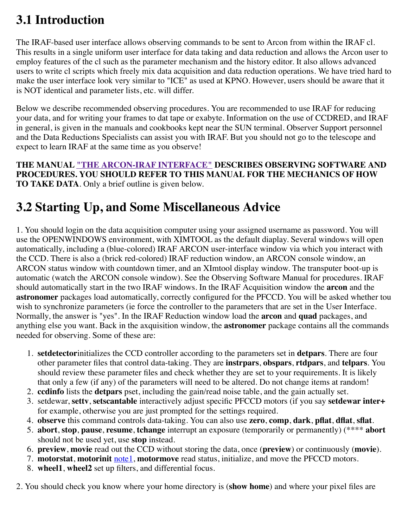#### **3.1 Introduction**

The IRAF-based user interface allows observing commands to be sent to Arcon from within the IRAF cl. This results in a single uniform user interface for data taking and data reduction and allows the Arcon user to employ features of the cl such as the parameter mechanism and the history editor. It also allows advanced users to write cl scripts which freely mix data acquisition and data reduction operations. We have tried hard to make the user interface look very similar to "ICE" as used at KPNO. However, users should be aware that it is NOT identical and parameter lists, etc. will differ.

Below we describe recommended observing procedures. You are recommended to use IRAF for reducing your data, and for writing your frames to dat tape or exabyte. Information on the use of CCDRED, and IRAF in general, is given in the manuals and cookbooks kept near the SUN terminal. Observer Support personnel and the Data Reductions Specialists can assist you with IRAF. But you should not go to the telescope and expect to learn IRAF at the same time as you observe!

**THE MANUAL ["THE ARCON-IRAF INTERFACE"](http://www.ctio.noao.edu/arcon/Arcon_IRAF_man.html) DESCRIBES OBSERVING SOFTWARE AND PROCEDURES. YOU SHOULD REFER TO THIS MANUAL FOR THE MECHANICS OF HOW TO TAKE DATA**. Only a brief outline is given below.

# **3.2 Starting Up, and Some Miscellaneous Advice**

1. You should login on the data acquisition computer using your assigned username as password. You will use the OPENWINDOWS environment, with XIMTOOL as the default diaplay. Several windows will open automatically, including a (blue-colored) IRAF ARCON user-interface window via which you interact with the CCD. There is also a (brick red-colored) IRAF reduction window, an ARCON console window, an ARCON status window with countdown timer, and an XImtool display window. The transputer boot-up is automatic (watch the ARCON console window). See the Observing Software Manual for procedures. IRAF should automatically start in the two IRAF windows. In the IRAF Acquisition window the **arcon** and the **astronomer** packages load automatically, correctly configured for the PFCCD. You will be asked whether tou wish to synchronize parameters (ie force the controller to the parameters that are set in the User Interface. Normally, the answer is "yes". In the IRAF Reduction window load the **arcon** and **quad** packages, and anything else you want. Back in the axquisition window, the **astronomer** package contains all the commands needed for observing. Some of these are:

- 1. **setdetector**initializes the CCD controller according to the parameters set in **detpars**. There are four other parameter files that control data-taking. They are **instrpars**, **obspars**, **rtdpars**, and **telpars**. You should review these parameter files and check whether they are set to your requirements. It is likely that only a few (if any) of the parameters will need to be altered. Do not change items at random!
- 2. **ccdinfo** lists the **detpars** pset, including the gain/read noise table, and the gain actually set.
- 3. setdewar, **settv**, **setscantable** interactively adjust specific PFCCD motors (if you say **setdewar inter+** for example, otherwise you are just prompted for the settings required.
- 4. **observe** this command controls data-taking. You can also use **zero**, **comp**, **dark**, **pflat**, **dflat**, **sflat**.
- 5. **abort**, **stop**, **pause**, **resume**, **tchange** interrupt an exposure (temporarily or permanently) (\*\*\*\* **abort** should not be used yet, use **stop** instead.
- 6. **preview**, **movie** read out the CCD without storing the data, once (**preview**) or continuously (**movie**).
- 7. **motorstat**, **motorinit** [note1,](http://www.ctio.noao.edu/pfccd/pfccd.html#footnote1) **motormove** read status, initialize, and move the PFCCD motors.
- 8. **wheel1**, **wheel2** set up filters, and differential focus.

2. You should check you know where your home directory is (**show home**) and where your pixel files are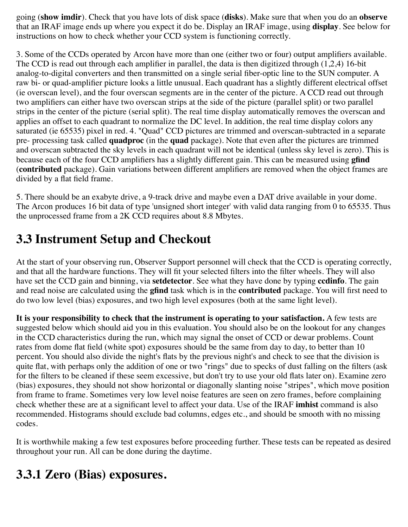going (**show imdir**). Check that you have lots of disk space (**disks**). Make sure that when you do an **observe** that an IRAF image ends up where you expect it do be. Display an IRAF image, using **display**. See below for instructions on how to check whether your CCD system is functioning correctly.

3. Some of the CCDs operated by Arcon have more than one (either two or four) output amplifiers available. The CCD is read out through each amplifier in parallel, the data is then digitized through (1,2,4) 16-bit analog-to-digital converters and then transmitted on a single serial fiber-optic line to the SUN computer. A raw bi- or quad-amplifier picture looks a little unusual. Each quadrant has a slightly different electrical offset (ie overscan level), and the four overscan segments are in the center of the picture. A CCD read out through two amplifiers can either have two overscan strips at the side of the picture (parallel split) or two parallel strips in the center of the picture (serial split). The real time display automatically removes the overscan and applies an offset to each quadrant to normalize the DC level. In addition, the real time display colors any saturated (ie 65535) pixel in red. 4. "Quad" CCD pictures are trimmed and overscan-subtracted in a separate pre- processing task called **quadproc** (in the **quad** package). Note that even after the pictures are trimmed and overscan subtracted the sky levels in each quadrant will not be identical (unless sky level is zero). This is because each of the four CCD amplifiers has a slightly different gain. This can be measured using **gfind** (**contributed** package). Gain variations between different amplifiers are removed when the object frames are divided by a flat field frame.

5. There should be an exabyte drive, a 9-track drive and maybe even a DAT drive available in your dome. The Arcon produces 16 bit data of type 'unsigned short integer' with valid data ranging from 0 to 65535. Thus the unprocessed frame from a 2K CCD requires about 8.8 Mbytes.

### **3.3 Instrument Setup and Checkout**

At the start of your observing run, Observer Support personnel will check that the CCD is operating correctly, and that all the hardware functions. They will fit your selected filters into the filter wheels. They will also have set the CCD gain and binning, via **setdetector**. See what they have done by typing **ccdinfo**. The gain and read noise are calculated using the **gfind** task which is in the **contributed** package. You will first need to do two low level (bias) exposures, and two high level exposures (both at the same light level).

**It is your responsibility to check that the instrument is operating to your satisfaction.** A few tests are suggested below which should aid you in this evaluation. You should also be on the lookout for any changes in the CCD characteristics during the run, which may signal the onset of CCD or dewar problems. Count rates from dome flat field (white spot) exposures should be the same from day to day, to better than 10 percent. You should also divide the night's flats by the previous night's and check to see that the division is quite flat, with perhaps only the addition of one or two "rings" due to specks of dust falling on the filters (ask for the filters to be cleaned if these seem excessive, but don't try to use your old flats later on). Examine zero (bias) exposures, they should not show horizontal or diagonally slanting noise "stripes", which move position from frame to frame. Sometimes very low level noise features are seen on zero frames, before complaining check whether these are at a significant level to affect your data. Use of the IRAF **imhist** command is also recommended. Histograms should exclude bad columns, edges etc., and should be smooth with no missing codes.

It is worthwhile making a few test exposures before proceeding further. These tests can be repeated as desired throughout your run. All can be done during the daytime.

#### **3.3.1 Zero (Bias) exposures.**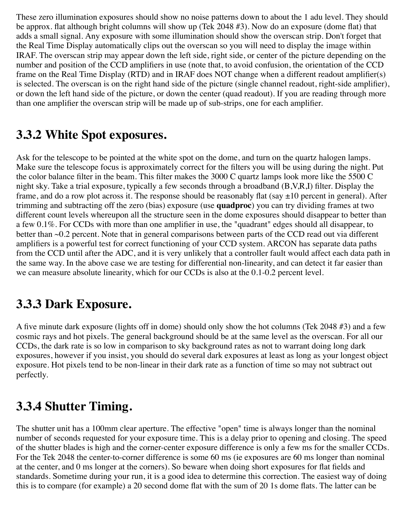These zero illumination exposures should show no noise patterns down to about the 1 adu level. They should be approx. flat although bright columns will show up (Tek 2048 #3). Now do an exposure (dome flat) that adds a small signal. Any exposure with some illumination should show the overscan strip. Don't forget that the Real Time Display automatically clips out the overscan so you will need to display the image within IRAF. The overscan strip may appear down the left side, right side, or center of the picture depending on the number and position of the CCD amplifiers in use (note that, to avoid confusion, the orientation of the CCD frame on the Real Time Display (RTD) and in IRAF does NOT change when a different readout amplifier(s) is selected. The overscan is on the right hand side of the picture (single channel readout, right-side amplifier), or down the left hand side of the picture, or down the center (quad readout). If you are reading through more than one amplifier the overscan strip will be made up of sub-strips, one for each amplifier.

#### **3.3.2 White Spot exposures.**

Ask for the telescope to be pointed at the white spot on the dome, and turn on the quartz halogen lamps. Make sure the telescope focus is approximately correct for the filters you will be using during the night. Put the color balance filter in the beam. This filter makes the 3000 C quartz lamps look more like the 5500 C night sky. Take a trial exposure, typically a few seconds through a broadband (B,V,R,I) filter. Display the frame, and do a row plot across it. The response should be reasonably flat (say  $\pm 10$  percent in general). After trimming and subtracting off the zero (bias) exposure (use **quadproc**) you can try dividing frames at two different count levels whereupon all the structure seen in the dome exposures should disappear to better than a few 0.1%. For CCDs with more than one amplifier in use, the "quadrant" edges should all disappear, to better than ~0.2 percent. Note that in general comparisons between parts of the CCD read out via different amplifiers is a powerful test for correct functioning of your CCD system. ARCON has separate data paths from the CCD until after the ADC, and it is very unlikely that a controller fault would affect each data path in the same way. In the above case we are testing for differential non-linearity, and can detect it far easier than we can measure absolute linearity, which for our CCDs is also at the 0.1-0.2 percent level.

#### **3.3.3 Dark Exposure.**

A five minute dark exposure (lights off in dome) should only show the hot columns (Tek 2048 #3) and a few cosmic rays and hot pixels. The general background should be at the same level as the overscan. For all our CCDs, the dark rate is so low in comparison to sky background rates as not to warrant doing long dark exposures, however if you insist, you should do several dark exposures at least as long as your longest object exposure. Hot pixels tend to be non-linear in their dark rate as a function of time so may not subtract out perfectly.

#### **3.3.4 Shutter Timing.**

The shutter unit has a 100mm clear aperture. The effective "open" time is always longer than the nominal number of seconds requested for your exposure time. This is a delay prior to opening and closing. The speed of the shutter blades is high and the corner-center exposure difference is only a few ms for the smaller CCDs. For the Tek 2048 the center-to-corner difference is some 60 ms (ie exposures are 60 ms longer than nominal at the center, and 0 ms longer at the corners). So beware when doing short exposures for flat fields and standards. Sometime during your run, it is a good idea to determine this correction. The easiest way of doing this is to compare (for example) a 20 second dome flat with the sum of 20 1s dome flats. The latter can be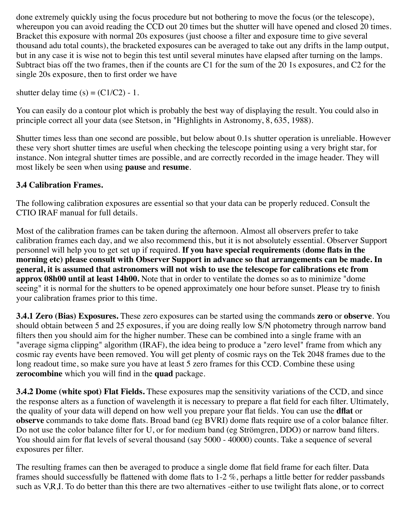done extremely quickly using the focus procedure but not bothering to move the focus (or the telescope), whereupon you can avoid reading the CCD out 20 times but the shutter will have opened and closed 20 times. Bracket this exposure with normal 20s exposures (just choose a filter and exposure time to give several thousand adu total counts), the bracketed exposures can be averaged to take out any drifts in the lamp output, but in any case it is wise not to begin this test until several minutes have elapsed after turning on the lamps. Subtract bias off the two frames, then if the counts are C1 for the sum of the 20 1s exposures, and C2 for the single 20s exposure, then to first order we have

shutter delay time  $(s) = (C1/C2) - 1$ .

You can easily do a contour plot which is probably the best way of displaying the result. You could also in principle correct all your data (see Stetson, in "Highlights in Astronomy, 8, 635, 1988).

Shutter times less than one second are possible, but below about 0.1s shutter operation is unreliable. However these very short shutter times are useful when checking the telescope pointing using a very bright star, for instance. Non integral shutter times are possible, and are correctly recorded in the image header. They will most likely be seen when using **pause** and **resume**.

#### **3.4 Calibration Frames.**

The following calibration exposures are essential so that your data can be properly reduced. Consult the CTIO IRAF manual for full details.

Most of the calibration frames can be taken during the afternoon. Almost all observers prefer to take calibration frames each day, and we also recommend this, but it is not absolutely essential. Observer Support personnel will help you to get set up if required. **If you have special requirements (dome flats in the morning etc) please consult with Observer Support in advance so that arrangements can be made. In general, it is assumed that astronomers will not wish to use the telescope for calibrations etc from approx 08h00 until at least 14h00.** Note that in order to ventilate the domes so as to minimize "dome seeing" it is normal for the shutters to be opened approximately one hour before sunset. Please try to finish your calibration frames prior to this time.

**3.4.1 Zero (Bias) Exposures.** These zero exposures can be started using the commands **zero** or **observe**. You should obtain between 5 and 25 exposures, if you are doing really low S/N photometry through narrow band filters then you should aim for the higher number. These can be combined into a single frame with an "average sigma clipping" algorithm (IRAF), the idea being to produce a "zero level" frame from which any cosmic ray events have been removed. You will get plenty of cosmic rays on the Tek 2048 frames due to the long readout time, so make sure you have at least 5 zero frames for this CCD. Combine these using **zerocombine** which you will find in the **quad** package.

**3.4.2 Dome (white spot) Flat Fields.** These exposures map the sensitivity variations of the CCD, and since the response alters as a function of wavelength it is necessary to prepare a flat field for each filter. Ultimately, the quality of your data will depend on how well you prepare your flat fields. You can use the **dflat** or **observe** commands to take dome flats. Broad band (eg BVRI) dome flats require use of a color balance filter. Do not use the color balance filter for U, or for medium band (eg Strömgren, DDO) or narrow band filters. You should aim for flat levels of several thousand (say 5000 - 40000) counts. Take a sequence of several exposures per filter.

The resulting frames can then be averaged to produce a single dome flat field frame for each filter. Data frames should successfully be flattened with dome flats to 1-2 %, perhaps a little better for redder passbands such as V,R,I. To do better than this there are two alternatives -either to use twilight flats alone, or to correct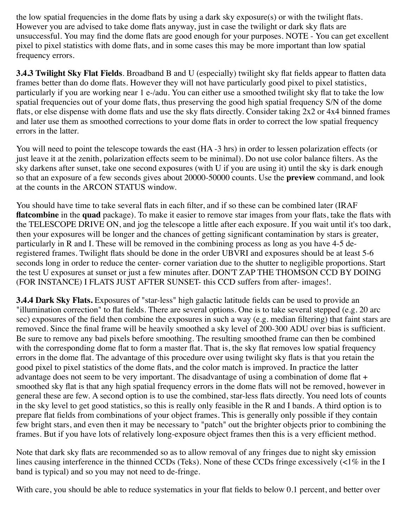the low spatial frequencies in the dome flats by using a dark sky exposure(s) or with the twilight flats. However you are advised to take dome flats anyway, just in case the twilight or dark sky flats are unsuccessful. You may find the dome flats are good enough for your purposes. NOTE - You can get excellent pixel to pixel statistics with dome flats, and in some cases this may be more important than low spatial frequency errors.

**3.4.3 Twilight Sky Flat Fields**. Broadband B and U (especially) twilight sky flat fields appear to flatten data frames better than do dome flats. However they will not have particularly good pixel to pixel statistics, particularly if you are working near 1 e-/adu. You can either use a smoothed twilight sky flat to take the low spatial frequencies out of your dome flats, thus preserving the good high spatial frequency S/N of the dome flats, or else dispense with dome flats and use the sky flats directly. Consider taking 2x2 or 4x4 binned frames and later use them as smoothed corrections to your dome flats in order to correct the low spatial frequency errors in the latter.

You will need to point the telescope towards the east (HA -3 hrs) in order to lessen polarization effects (or just leave it at the zenith, polarization effects seem to be minimal). Do not use color balance filters. As the sky darkens after sunset, take one second exposures (with U if you are using it) until the sky is dark enough so that an exposure of a few seconds gives about 20000-50000 counts. Use the **preview** command, and look at the counts in the ARCON STATUS window.

You should have time to take several flats in each filter, and if so these can be combined later (IRAF **flatcombine** in the **quad** package). To make it easier to remove star images from your flats, take the flats with the TELESCOPE DRIVE ON, and jog the telescope a little after each exposure. If you wait until it's too dark, then your exposures will be longer and the chances of getting significant contamination by stars is greater, particularly in R and I. These will be removed in the combining process as long as you have 4-5 deregistered frames. Twilight flats should be done in the order UBVRI and exposures should be at least 5-6 seconds long in order to reduce the center- corner variation due to the shutter to negligible proportions. Start the test U exposures at sunset or just a few minutes after. DON'T ZAP THE THOMSON CCD BY DOING (FOR INSTANCE) I FLATS JUST AFTER SUNSET- this CCD suffers from after- images!.

**3.4.4 Dark Sky Flats.** Exposures of "star-less" high galactic latitude fields can be used to provide an "illumination correction" to flat fields. There are several options. One is to take several stepped (e.g. 20 arc sec) exposures of the field then combine the exposures in such a way (e.g. median filtering) that faint stars are removed. Since the final frame will be heavily smoothed a sky level of 200-300 ADU over bias is sufficient. Be sure to remove any bad pixels before smoothing. The resulting smoothed frame can then be combined with the corresponding dome flat to form a master flat. That is, the sky flat removes low spatial frequency errors in the dome flat. The advantage of this procedure over using twilight sky flats is that you retain the good pixel to pixel statistics of the dome flats, and the color match is improved. In practice the latter advantage does not seem to be very important. The disadvantage of using a combination of dome flat + smoothed sky flat is that any high spatial frequency errors in the dome flats will not be removed, however in general these are few. A second option is to use the combined, star-less flats directly. You need lots of counts in the sky level to get good statistics, so this is really only feasible in the R and I bands. A third option is to prepare flat fields from combinations of your object frames. This is generally only possible if they contain few bright stars, and even then it may be necessary to "patch" out the brighter objects prior to combining the frames. But if you have lots of relatively long-exposure object frames then this is a very efficient method.

Note that dark sky flats are recommended so as to allow removal of any fringes due to night sky emission lines causing interference in the thinned CCDs (Teks). None of these CCDs fringe excessively (<1% in the I band is typical) and so you may not need to de-fringe.

With care, you should be able to reduce systematics in your flat fields to below 0.1 percent, and better over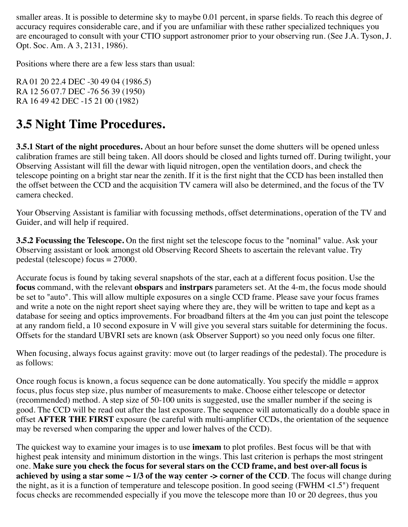smaller areas. It is possible to determine sky to maybe 0.01 percent, in sparse fields. To reach this degree of accuracy requires considerable care, and if you are unfamiliar with these rather specialized techniques you are encouraged to consult with your CTIO support astronomer prior to your observing run. (See J.A. Tyson, J. Opt. Soc. Am. A 3, 2131, 1986).

Positions where there are a few less stars than usual:

RA 01 20 22.4 DEC -30 49 04 (1986.5) RA 12 56 07.7 DEC -76 56 39 (1950) RA 16 49 42 DEC -15 21 00 (1982)

#### **3.5 Night Time Procedures.**

**3.5.1 Start of the night procedures.** About an hour before sunset the dome shutters will be opened unless calibration frames are still being taken. All doors should be closed and lights turned off. During twilight, your Observing Assistant will fill the dewar with liquid nitrogen, open the ventilation doors, and check the telescope pointing on a bright star near the zenith. If it is the first night that the CCD has been installed then the offset between the CCD and the acquisition TV camera will also be determined, and the focus of the TV camera checked.

Your Observing Assistant is familiar with focussing methods, offset determinations, operation of the TV and Guider, and will help if required.

**3.5.2 Focussing the Telescope.** On the first night set the telescope focus to the "nominal" value. Ask your Observing assistant or look amongst old Observing Record Sheets to ascertain the relevant value. Try pedestal (telescope) focus = 27000.

Accurate focus is found by taking several snapshots of the star, each at a different focus position. Use the **focus** command, with the relevant **obspars** and **instrpars** parameters set. At the 4-m, the focus mode should be set to "auto". This will allow multiple exposures on a single CCD frame. Please save your focus frames and write a note on the night report sheet saying where they are, they will be written to tape and kept as a database for seeing and optics improvements. For broadband filters at the 4m you can just point the telescope at any random field, a 10 second exposure in V will give you several stars suitable for determining the focus. Offsets for the standard UBVRI sets are known (ask Observer Support) so you need only focus one filter.

When focusing, always focus against gravity: move out (to larger readings of the pedestal). The procedure is as follows:

Once rough focus is known, a focus sequence can be done automatically. You specify the middle = approx focus, plus focus step size, plus number of measurements to make. Choose either telescope or detector (recommended) method. A step size of 50-100 units is suggested, use the smaller number if the seeing is good. The CCD will be read out after the last exposure. The sequence will automatically do a double space in offset **AFTER THE FIRST** exposure (be careful with multi-amplifier CCDs, the orientation of the sequence may be reversed when comparing the upper and lower halves of the CCD).

The quickest way to examine your images is to use **imexam** to plot profiles. Best focus will be that with highest peak intensity and minimum distortion in the wings. This last criterion is perhaps the most stringent one. **Make sure you check the focus for several stars on the CCD frame, and best over-all focus is achieved by using a star some**  $\sim 1/3$  **of the way center -> corner of the CCD**. The focus will change during the night, as it is a function of temperature and telescope position. In good seeing (FWHM <1.5") frequent focus checks are recommended especially if you move the telescope more than 10 or 20 degrees, thus you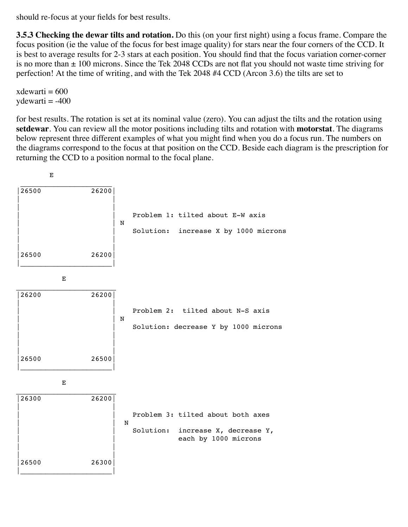should re-focus at your fields for best results.

**3.5.3 Checking the dewar tilts and rotation.** Do this (on your first night) using a focus frame. Compare the focus position (ie the value of the focus for best image quality) for stars near the four corners of the CCD. It is best to average results for 2-3 stars at each position. You should find that the focus variation corner-corner is no more than  $\pm$  100 microns. Since the Tek 2048 CCDs are not flat you should not waste time striving for perfection! At the time of writing, and with the Tek 2048 #4 CCD (Arcon 3.6) the tilts are set to

 $x$ dewarti = 600  $y$ dewarti =  $-400$ 

for best results. The rotation is set at its nominal value (zero). You can adjust the tilts and the rotation using **setdewar**. You can review all the motor positions including tilts and rotation with **motorstat**. The diagrams below represent three different examples of what you might find when you do a focus run. The numbers on the diagrams correspond to the focus at that position on the CCD. Beside each diagram is the prescription for returning the CCD to a position normal to the focal plane.

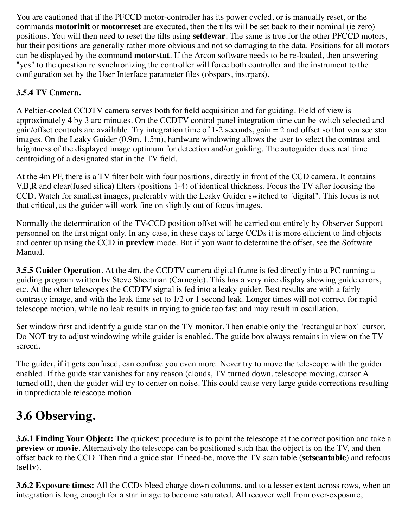You are cautioned that if the PFCCD motor-controller has its power cycled, or is manually reset, or the commands **motorinit** or **motorreset** are executed, then the tilts will be set back to their nominal (ie zero) positions. You will then need to reset the tilts using **setdewar**. The same is true for the other PFCCD motors, but their positions are generally rather more obvious and not so damaging to the data. Positions for all motors can be displayed by the command **motorstat**. If the Arcon software needs to be re-loaded, then answering "yes" to the question re synchronizing the controller will force both controller and the instrument to the configuration set by the User Interface parameter files (obspars, instrpars).

#### **3.5.4 TV Camera.**

A Peltier-cooled CCDTV camera serves both for field acquisition and for guiding. Field of view is approximately 4 by 3 arc minutes. On the CCDTV control panel integration time can be switch selected and gain/offset controls are available. Try integration time of 1-2 seconds, gain = 2 and offset so that you see star images. On the Leaky Guider (0.9m, 1.5m), hardware windowing allows the user to select the contrast and brightness of the displayed image optimum for detection and/or guiding. The autoguider does real time centroiding of a designated star in the TV field.

At the 4m PF, there is a TV filter bolt with four positions, directly in front of the CCD camera. It contains V,B,R and clear(fused silica) filters (positions 1-4) of identical thickness. Focus the TV after focusing the CCD. Watch for smallest images, preferably with the Leaky Guider switched to "digital". This focus is not that critical, as the guider will work fine on slightly out of focus images.

Normally the determination of the TV-CCD position offset will be carried out entirely by Observer Support personnel on the first night only. In any case, in these days of large CCDs it is more efficient to find objects and center up using the CCD in **preview** mode. But if you want to determine the offset, see the Software Manual.

**3.5.5 Guider Operation**. At the 4m, the CCDTV camera digital frame is fed directly into a PC running a guiding program written by Steve Shectman (Carnegie). This has a very nice display showing guide errors, etc. At the other telescopes the CCDTV signal is fed into a leaky guider. Best results are with a fairly contrasty image, and with the leak time set to 1/2 or 1 second leak. Longer times will not correct for rapid telescope motion, while no leak results in trying to guide too fast and may result in oscillation.

Set window first and identify a guide star on the TV monitor. Then enable only the "rectangular box" cursor. Do NOT try to adjust windowing while guider is enabled. The guide box always remains in view on the TV screen.

The guider, if it gets confused, can confuse you even more. Never try to move the telescope with the guider enabled. If the guide star vanishes for any reason (clouds, TV turned down, telescope moving, cursor A turned off), then the guider will try to center on noise. This could cause very large guide corrections resulting in unpredictable telescope motion.

#### **3.6 Observing.**

**3.6.1 Finding Your Object:** The quickest procedure is to point the telescope at the correct position and take a **preview** or **movie**. Alternatively the telescope can be positioned such that the object is on the TV, and then offset back to the CCD. Then find a guide star. If need-be, move the TV scan table (**setscantable**) and refocus (**settv**).

**3.6.2 Exposure times:** All the CCDs bleed charge down columns, and to a lesser extent across rows, when an integration is long enough for a star image to become saturated. All recover well from over-exposure,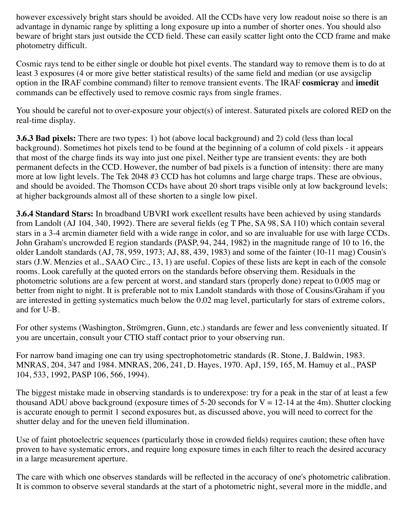however excessively bright stars should be avoided. All the CCDs have very low readout noise so there is an advantage in dynamic range by splitting a long exposure up into a number of shorter ones. You should also beware of bright stars just outside the CCD field. These can easily scatter light onto the CCD frame and make photometry difficult.

Cosmic rays tend to be either single or double hot pixel events. The standard way to remove them is to do at least 3 exposures (4 or more give better statistical results) of the same field and median (or use avsigclip option in the IRAF combine command) filter to remove transient events. The IRAF **cosmicray** and **imedit** commands can be effectively used to remove cosmic rays from single frames.

You should be careful not to over-exposure your object(s) of interest. Saturated pixels are colored RED on the real-time display.

**3.6.3 Bad pixels:** There are two types: 1) hot (above local background) and 2) cold (less than local background). Sometimes hot pixels tend to be found at the beginning of a column of cold pixels - it appears that most of the charge finds its way into just one pixel. Neither type are transient events: they are both permanent defects in the CCD. However, the number of bad pixels is a function of intensity: there are many more at low light levels. The Tek 2048 #3 CCD has hot columns and large charge traps. These are obvious, and should be avoided. The Thomson CCDs have about 20 short traps visible only at low background levels; at higher backgrounds almost all of these shorten to a single low pixel.

**3.6.4 Standard Stars:** In broadband UBVRI work excellent results have been achieved by using standards from Landolt (AJ 104, 340, 1992). There are several fields (eg T Phe, SA 98, SA 110) which contain several stars in a 3-4 arcmin diameter field with a wide range in color, and so are invaluable for use with large CCDs. John Graham's uncrowded E region standards (PASP, 94, 244, 1982) in the magnitude range of 10 to 16, the older Landolt standards (AJ, 78, 959, 1973; AJ, 88, 439, 1983) and some of the fainter (10-11 mag) Cousin's stars (J.W. Menzies et al., SAAO Circ., 13, 1) are useful. Copies of these lists are kept in each of the console rooms. Look carefully at the quoted errors on the standards before observing them. Residuals in the photometric solutions are a few percent at worst, and standard stars (properly done) repeat to 0.005 mag or better from night to night. It is preferable not to mix Landolt standards with those of Cousins/Graham if you are interested in getting systematics much below the 0.02 mag level, particularly for stars of extreme colors, and for U-B.

For other systems (Washington, Strömgren, Gunn, etc.) standards are fewer and less conveniently situated. If you are uncertain, consult your CTIO staff contact prior to your observing run.

For narrow band imaging one can try using spectrophotometric standards (R. Stone, J. Baldwin, 1983. MNRAS, 204, 347 and 1984. MNRAS, 206, 241, D. Hayes, 1970. ApJ, 159, 165, M. Hamuy et al., PASP 104, 533, 1992, PASP 106, 566, 1994).

The biggest mistake made in observing standards is to underexpose: try for a peak in the star of at least a few thousand ADU above background (exposure times of 5-20 seconds for  $V = 12$ -14 at the 4m). Shutter clocking is accurate enough to permit 1 second exposures but, as discussed above, you will need to correct for the shutter delay and for the uneven field illumination.

Use of faint photoelectric sequences (particularly those in crowded fields) requires caution; these often have proven to have systematic errors, and require long exposure times in each filter to reach the desired accuracy in a large measurement aperture.

The care with which one observes standards will be reflected in the accuracy of one's photometric calibration. It is common to observe several standards at the start of a photometric night, several more in the middle, and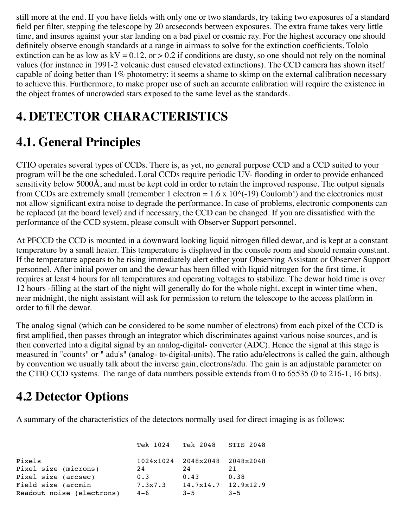still more at the end. If you have fields with only one or two standards, try taking two exposures of a standard field per filter, stepping the telescope by 20 arcseconds between exposures. The extra frame takes very little time, and insures against your star landing on a bad pixel or cosmic ray. For the highest accuracy one should definitely observe enough standards at a range in airmass to solve for the extinction coefficients. Tololo extinction can be as low as  $kV = 0.12$ , or  $> 0.2$  if conditions are dusty, so one should not rely on the nominal values (for instance in 1991-2 volcanic dust caused elevated extinctions). The CCD camera has shown itself capable of doing better than 1% photometry: it seems a shame to skimp on the external calibration necessary to achieve this. Furthermore, to make proper use of such an accurate calibration will require the existence in the object frames of uncrowded stars exposed to the same level as the standards.

### **4. DETECTOR CHARACTERISTICS**

#### **4.1. General Principles**

CTIO operates several types of CCDs. There is, as yet, no general purpose CCD and a CCD suited to your program will be the one scheduled. Loral CCDs require periodic UV- flooding in order to provide enhanced sensitivity below 5000Å, and must be kept cold in order to retain the improved response. The output signals from CCDs are extremely small (remember 1 electron =  $1.6 \times 10^{(0)}$ -19) Coulomb!) and the electronics must not allow significant extra noise to degrade the performance. In case of problems, electronic components can be replaced (at the board level) and if necessary, the CCD can be changed. If you are dissatisfied with the performance of the CCD system, please consult with Observer Support personnel.

At PFCCD the CCD is mounted in a downward looking liquid nitrogen filled dewar, and is kept at a constant temperature by a small heater. This temperature is displayed in the console room and should remain constant. If the temperature appears to be rising immediately alert either your Observing Assistant or Observer Support personnel. After initial power on and the dewar has been filled with liquid nitrogen for the first time, it requires at least 4 hours for all temperatures and operating voltages to stabilize. The dewar hold time is over 12 hours -filling at the start of the night will generally do for the whole night, except in winter time when, near midnight, the night assistant will ask for permission to return the telescope to the access platform in order to fill the dewar.

The analog signal (which can be considered to be some number of electrons) from each pixel of the CCD is first amplified, then passes through an integrator which discriminates against various noise sources, and is then converted into a digital signal by an analog-digital- converter (ADC). Hence the signal at this stage is measured in "counts" or " adu's" (analog- to-digital-units). The ratio adu/electrons is called the gain, although by convention we usually talk about the inverse gain, electrons/adu. The gain is an adjustable parameter on the CTIO CCD systems. The range of data numbers possible extends from 0 to 65535 (0 to 216-1, 16 bits).

#### **4.2 Detector Options**

A summary of the characteristics of the detectors normally used for direct imaging is as follows:

|                           | Tek 1024 | Tek 2048 STIS 2048            |         |
|---------------------------|----------|-------------------------------|---------|
| Pixels                    |          | 1024x1024 2048x2048 2048x2048 |         |
| Pixel size (microns)      | 24       | 24                            | 21      |
| Pixel size (arcsec)       | 0.3      | 0.43                          | 0.38    |
| Field size (arcmin        | 7.3x7.3  | $14.7x14.7$ $12.9x12.9$       |         |
| Readout noise (electrons) | $4 - 6$  | $3 - 5$                       | $3 - 5$ |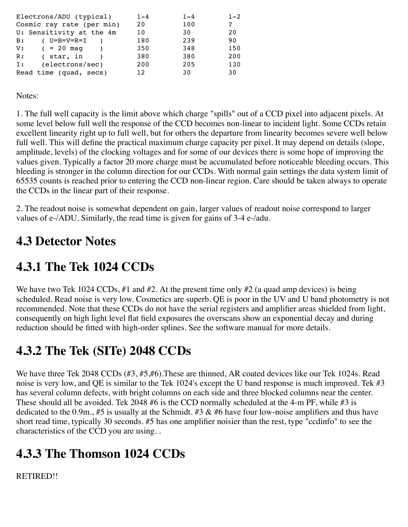| Electrons/ADU (typical)           | $1 - 4$         | $1 - 4$ | $1 - 2$ |
|-----------------------------------|-----------------|---------|---------|
| Cosmic ray rate (per min)         | 20              | 100     | ?       |
| U: Sensitivity at the 4m          | 10              | 30      | 20      |
| ( $U = B = V = R = I$<br>B:       | 180             | 239     | 90      |
| $V:$ ( = 20 mag                   | 350             | 348     | 150     |
| ( star, in<br>R:                  | 380             | 380     | 200     |
| (electrons/sec)<br>$\mathbf{I}$ : | 200             | 205     | 130     |
| Read time (quad, secs)            | 12 <sub>1</sub> | 30      | 30      |

Notes:

1. The full well capacity is the limit above which charge "spills" out of a CCD pixel into adjacent pixels. At some level below full well the response of the CCD becomes non-linear to incident light. Some CCDs retain excellent linearity right up to full well, but for others the departure from linearity becomes severe well below full well. This will define the practical maximum charge capacity per pixel. It may depend on details (slope, amplitude, levels) of the clocking voltages and for some of our devices there is some hope of improving the values given. Typically a factor 20 more charge must be accumulated before noticeable bleeding occurs. This bleeding is stronger in the column direction for our CCDs. With normal gain settings the data system limit of 65535 counts is reached prior to entering the CCD non-linear region. Care should be taken always to operate the CCDs in the linear part of their response.

2. The readout noise is somewhat dependent on gain, larger values of readout noise correspond to larger values of e-/ADU. Similarly, the read time is given for gains of 3-4 e-/adu.

#### **4.3 Detector Notes**

#### **4.3.1 The Tek 1024 CCDs**

We have two Tek 1024 CCDs, #1 and #2. At the present time only #2 (a quad amp devices) is being scheduled. Read noise is very low. Cosmetics are superb. QE is poor in the UV and U band photometry is not recommended. Note that these CCDs do not have the serial registers and amplifier areas shielded from light, consequently on high light level flat field exposures the overscans show an exponential decay and during reduction should be fitted with high-order splines. See the software manual for more details.

# **4.3.2 The Tek (SITe) 2048 CCDs**

We have three Tek 2048 CCDs (#3, #5,#6). These are thinned, AR coated devices like our Tek 1024s. Read noise is very low, and QE is similar to the Tek 1024's except the U band response is much improved. Tek #3 has several column defects, with bright columns on each side and three blocked columns near the center. These should all be avoided. Tek 2048 #6 is the CCD normally scheduled at the 4-m PF, while #3 is dedicated to the 0.9m., #5 is usually at the Schmidt. #3  $\&$  #6 have four low-noise amplifiers and thus have short read time, typically 30 seconds. #5 has one amplifier noisier than the rest, type "ccdinfo" to see the characteristics of the CCD you are using. .

# **4.3.3 The Thomson 1024 CCDs**

RETIRED!!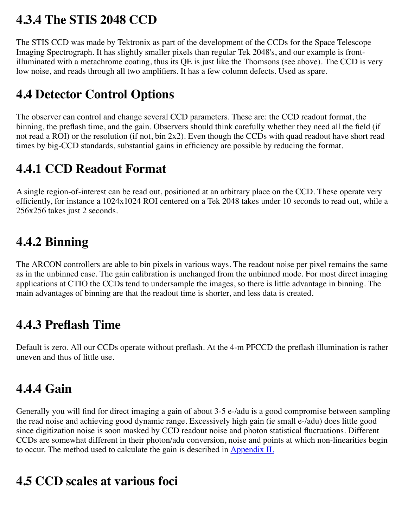#### **4.3.4 The STIS 2048 CCD**

The STIS CCD was made by Tektronix as part of the development of the CCDs for the Space Telescope Imaging Spectrograph. It has slightly smaller pixels than regular Tek 2048's, and our example is frontilluminated with a metachrome coating, thus its QE is just like the Thomsons (see above). The CCD is very low noise, and reads through all two amplifiers. It has a few column defects. Used as spare.

# **4.4 Detector Control Options**

The observer can control and change several CCD parameters. These are: the CCD readout format, the binning, the preflash time, and the gain. Observers should think carefully whether they need all the field (if not read a ROI) or the resolution (if not, bin 2x2). Even though the CCDs with quad readout have short read times by big-CCD standards, substantial gains in efficiency are possible by reducing the format.

#### **4.4.1 CCD Readout Format**

A single region-of-interest can be read out, positioned at an arbitrary place on the CCD. These operate very efficiently, for instance a 1024x1024 ROI centered on a Tek 2048 takes under 10 seconds to read out, while a 256x256 takes just 2 seconds.

# **4.4.2 Binning**

The ARCON controllers are able to bin pixels in various ways. The readout noise per pixel remains the same as in the unbinned case. The gain calibration is unchanged from the unbinned mode. For most direct imaging applications at CTIO the CCDs tend to undersample the images, so there is little advantage in binning. The main advantages of binning are that the readout time is shorter, and less data is created.

#### **4.4.3 Preflash Time**

Default is zero. All our CCDs operate without preflash. At the 4-m PFCCD the preflash illumination is rather uneven and thus of little use.

# **4.4.4 Gain**

Generally you will find for direct imaging a gain of about 3-5 e-/adu is a good compromise between sampling the read noise and achieving good dynamic range. Excessively high gain (ie small e-/adu) does little good since digitization noise is soon masked by CCD readout noise and photon statistical fluctuations. Different CCDs are somewhat different in their photon/adu conversion, noise and points at which non-linearities begin to occur. The method used to calculate the gain is described in  $\Delta$ ppendix II.

#### **4.5 CCD scales at various foci**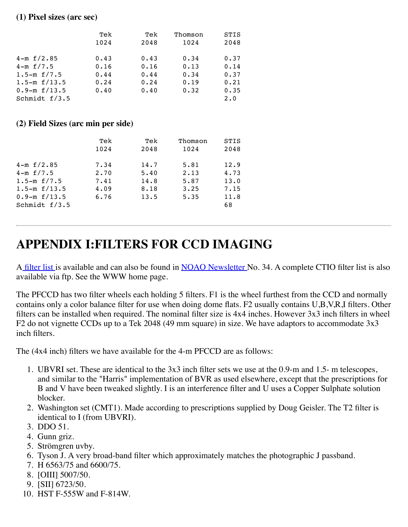#### **(1) Pixel sizes (arc sec)**

|                     | Tek  | Tek  | Thomson | <b>STIS</b> |
|---------------------|------|------|---------|-------------|
|                     | 1024 | 2048 | 1024    | 2048        |
| $4-m \t f/2.85$     | 0.43 | 0.43 | 0.34    | 0.37        |
| $4-m\ \text{f}/7.5$ | 0.16 | 0.16 | 0.13    | 0.14        |
| 1.5-m $f/7.5$       | 0.44 | 0.44 | 0.34    | 0.37        |
| $1.5-m$ f/13.5      | 0.24 | 0.24 | 0.19    | 0.21        |
| $0.9 - m f/13.5$    | 0.40 | 0.40 | 0.32    | 0.35        |
| Schmidt $f/3.5$     |      |      |         | $2 \cdot 0$ |

#### **(2) Field Sizes (arc min per side)**

|                     | Tek  | Tek  | Thomson | <b>STIS</b> |
|---------------------|------|------|---------|-------------|
|                     | 1024 | 2048 | 1024    | 2048        |
| $4-m \t f/2.85$     | 7.34 | 14.7 | 5.81    | 12.9        |
| $4-m\ \text{f}/7.5$ | 2.70 | 5.40 | 2.13    | 4.73        |
| 1.5-m $f/7.5$       | 7.41 | 14.8 | 5.87    | 13.0        |
| 1.5 $-mf/13.5$      | 4.09 | 8.18 | 3.25    | 7.15        |
| $0.9 - m f/13.5$    | 6.76 | 13.5 | 5.35    | 11.8        |
| Schmidt $f/3.5$     |      |      |         | 68          |
|                     |      |      |         |             |

#### **APPENDIX I:FILTERS FOR CCD IMAGING**

A [filter list i](http://www.ctio.noao.edu/instruments/newfilters.html)s available and can also be found in [NOAO Newsletter N](http://www.noao.edu/noao/noaonews.html)o. 34. A complete CTIO filter list is also available via ftp. See the WWW home page.

The PFCCD has two filter wheels each holding 5 filters. F1 is the wheel furthest from the CCD and normally contains only a color balance filter for use when doing dome flats. F2 usually contains U,B,V,R,I filters. Other filters can be installed when required. The nominal filter size is 4x4 inches. However 3x3 inch filters in wheel F2 do not vignette CCDs up to a Tek 2048 (49 mm square) in size. We have adaptors to accommodate 3x3 inch filters.

The (4x4 inch) filters we have available for the 4-m PFCCD are as follows:

- 1. UBVRI set. These are identical to the 3x3 inch filter sets we use at the 0.9-m and 1.5- m telescopes, and similar to the "Harris" implementation of BVR as used elsewhere, except that the prescriptions for B and V have been tweaked slightly. I is an interference filter and U uses a Copper Sulphate solution blocker.
- 2. Washington set (CMT1). Made according to prescriptions supplied by Doug Geisler. The T2 filter is identical to I (from UBVRI).
- 3. DDO 51.
- 4. Gunn griz.
- 5. Strömgren uvby.
- 6. Tyson J. A very broad-band filter which approximately matches the photographic J passband.
- 7. H 6563/75 and 6600/75.
- 8. [OIII] 5007/50.
- 9. [SII] 6723/50.
- 10. HST F-555W and F-814W.